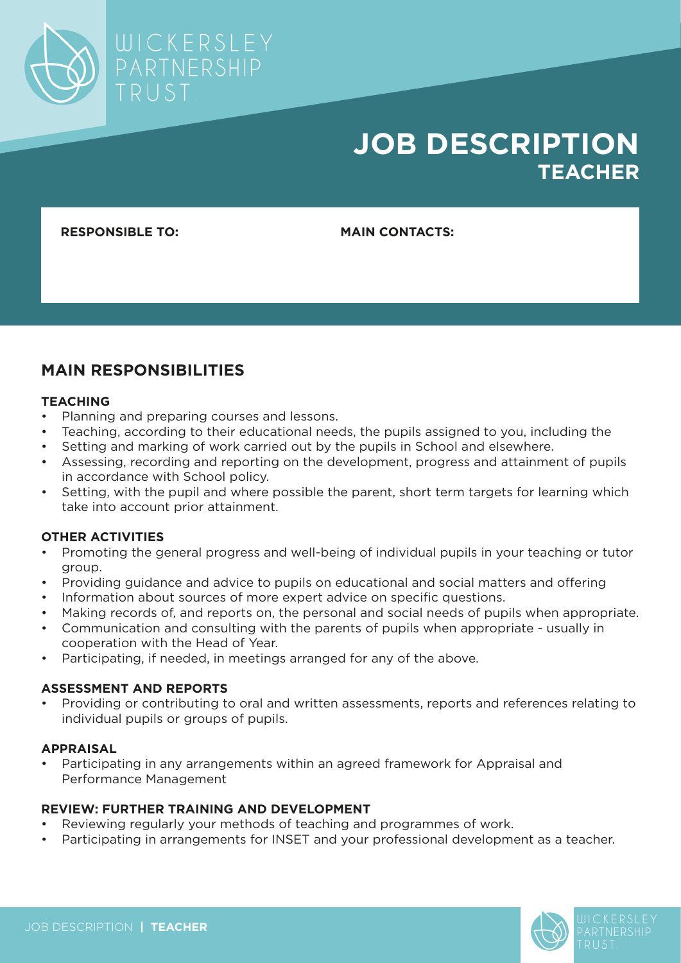

# **JOB DESCRIPTION TEACHER**

**RESPONSIBLE TO: MAIN CONTACTS:**

# **MAIN RESPONSIBILITIES**

### **TEACHING**

- Planning and preparing courses and lessons.
- Teaching, according to their educational needs, the pupils assigned to you, including the
- Setting and marking of work carried out by the pupils in School and elsewhere.
- Assessing, recording and reporting on the development, progress and attainment of pupils in accordance with School policy.
- Setting, with the pupil and where possible the parent, short term targets for learning which take into account prior attainment.

### **OTHER ACTIVITIES**

- Promoting the general progress and well-being of individual pupils in your teaching or tutor group.
- Providing guidance and advice to pupils on educational and social matters and offering
- Information about sources of more expert advice on specific questions.
- Making records of, and reports on, the personal and social needs of pupils when appropriate.
- Communication and consulting with the parents of pupils when appropriate usually in cooperation with the Head of Year.
- Participating, if needed, in meetings arranged for any of the above.

### **ASSESSMENT AND REPORTS**

• Providing or contributing to oral and written assessments, reports and references relating to individual pupils or groups of pupils.

#### **APPRAISAL**

• Participating in any arrangements within an agreed framework for Appraisal and Performance Management

### **REVIEW: FURTHER TRAINING AND DEVELOPMENT**

- Reviewing regularly your methods of teaching and programmes of work.
- Participating in arrangements for INSET and your professional development as a teacher.